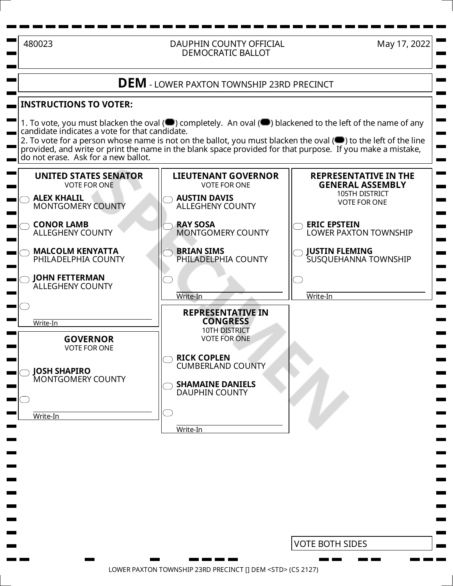## 480023 DAUPHIN COUNTY OFFICIAL DEMOCRATIC BALLOT

May 17, 2022

## **DEM** - LOWER PAXTON TOWNSHIP 23RD PRECINCT

## **INSTRUCTIONS TO VOTER:**

1. To vote, you must blacken the oval ( $\blacksquare$ ) completely. An oval ( $\blacksquare$ ) blackened to the left of the name of any candidate indicates a vote for that candidate.

2. To vote for a person whose name is not on the ballot, you must blacken the oval  $($ **)** to the left of the line provided, and write or print the name in the blank space provided for that purpose. If you make a mistake, do not erase. Ask for a new ballot.